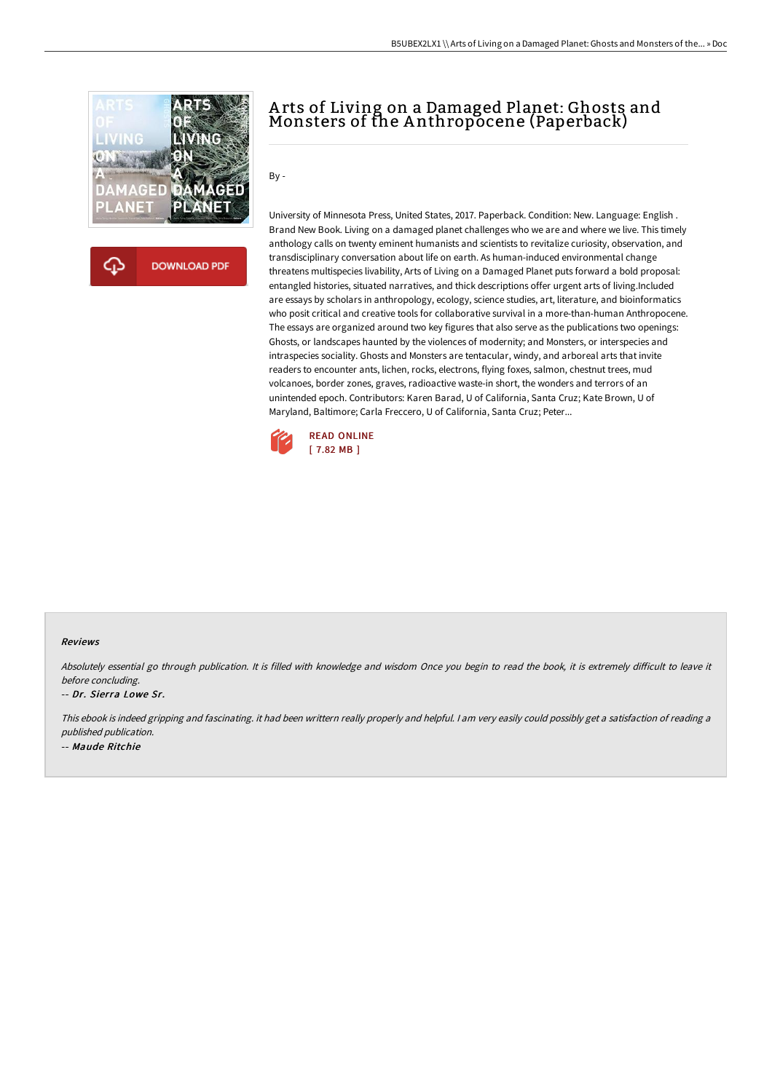

**DOWNLOAD PDF** ረጉ

## A rts of Living on a Damaged Planet: Ghosts and Monsters of the A nthropocene (Paperback)

## By -

University of Minnesota Press, United States, 2017. Paperback. Condition: New. Language: English . Brand New Book. Living on a damaged planet challenges who we are and where we live. This timely anthology calls on twenty eminent humanists and scientists to revitalize curiosity, observation, and transdisciplinary conversation about life on earth. As human-induced environmental change threatens multispecies livability, Arts of Living on a Damaged Planet puts forward a bold proposal: entangled histories, situated narratives, and thick descriptions offer urgent arts of living.Included are essays by scholars in anthropology, ecology, science studies, art, literature, and bioinformatics who posit critical and creative tools for collaborative survival in a more-than-human Anthropocene. The essays are organized around two key figures that also serve as the publications two openings: Ghosts, or landscapes haunted by the violences of modernity; and Monsters, or interspecies and intraspecies sociality. Ghosts and Monsters are tentacular, windy, and arboreal arts that invite readers to encounter ants, lichen, rocks, electrons, flying foxes, salmon, chestnut trees, mud volcanoes, border zones, graves, radioactive waste-in short, the wonders and terrors of an unintended epoch. Contributors: Karen Barad, U of California, Santa Cruz; Kate Brown, U of Maryland, Baltimore; Carla Freccero, U of California, Santa Cruz; Peter...



## Reviews

Absolutely essential go through publication. It is filled with knowledge and wisdom Once you begin to read the book, it is extremely difficult to leave it before concluding.

-- Dr. Sierra Lowe Sr.

This ebook is indeed gripping and fascinating. it had been writtern really properly and helpful. <sup>I</sup> am very easily could possibly get <sup>a</sup> satisfaction of reading <sup>a</sup> published publication. -- Maude Ritchie